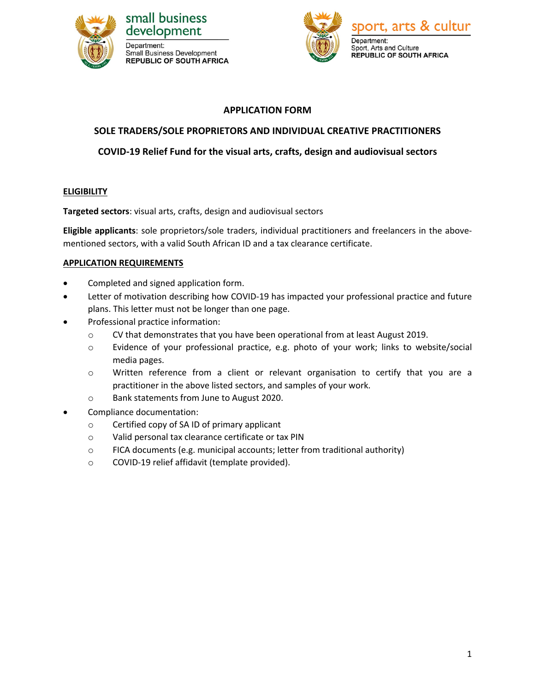





# **APPLICATION FORM**

# **SOLE TRADERS/SOLE PROPRIETORS AND INDIVIDUAL CREATIVE PRACTITIONERS**

# **COVID-19 Relief Fund for the visual arts, crafts, design and audiovisual sectors**

### **ELIGIBILITY**

**Targeted sectors**: visual arts, crafts, design and audiovisual sectors

**Eligible applicants**: sole proprietors/sole traders, individual practitioners and freelancers in the abovementioned sectors, with a valid South African ID and a tax clearance certificate.

### **APPLICATION REQUIREMENTS**

- Completed and signed application form.
- Letter of motivation describing how COVID-19 has impacted your professional practice and future plans. This letter must not be longer than one page.
- Professional practice information:
	- o CV that demonstrates that you have been operational from at least August 2019.
	- o Evidence of your professional practice, e.g. photo of your work; links to website/social media pages.
	- o Written reference from a client or relevant organisation to certify that you are a practitioner in the above listed sectors, and samples of your work.
	- o Bank statements from June to August 2020.
- Compliance documentation:
	- o Certified copy of SA ID of primary applicant
	- o Valid personal tax clearance certificate or tax PIN
	- o FICA documents (e.g. municipal accounts; letter from traditional authority)
	- o COVID-19 relief affidavit (template provided).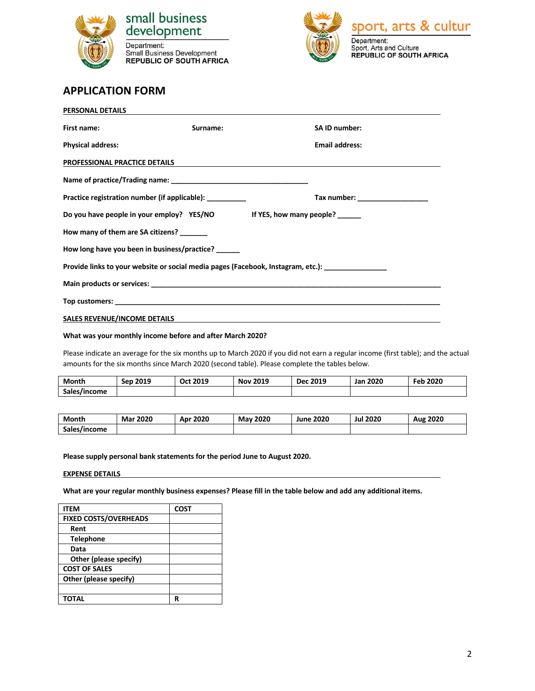

development Department: Separatoric.<br>Small Business Development<br>REPUBLIC OF SOUTH AFRICA



# **APPLICATION FORM**

| PERSONAL DETAILS                                                                                    |          |                                                                                                                  |  |
|-----------------------------------------------------------------------------------------------------|----------|------------------------------------------------------------------------------------------------------------------|--|
| First name:                                                                                         | Surname: | SA ID number:                                                                                                    |  |
| <b>Physical address:</b>                                                                            |          | <b>Email address:</b>                                                                                            |  |
| PROFESSIONAL PRACTICE DETAILS                                                                       |          | and the control of the control of the control of the control of the control of the control of the control of the |  |
|                                                                                                     |          |                                                                                                                  |  |
| Practice registration number (if applicable):                                                       |          |                                                                                                                  |  |
| Do you have people in your employ? YES/NO If YES, how many people?                                  |          |                                                                                                                  |  |
| How many of them are SA citizens? ______                                                            |          |                                                                                                                  |  |
| How long have you been in business/practice?                                                        |          |                                                                                                                  |  |
| Provide links to your website or social media pages (Facebook, Instagram, etc.): __________________ |          |                                                                                                                  |  |
|                                                                                                     |          |                                                                                                                  |  |
|                                                                                                     |          |                                                                                                                  |  |
| <b>SALES REVENUE/INCOME DETAILS</b>                                                                 |          | <u> 1989 - John Stoff, amerikansk politiker (d. 1989)</u>                                                        |  |

#### **What was your monthly income before and after March 2020?**

Please indicate an average for the six months up to March 2020 if you did not earn a regular income (first table); and the actual amounts for the six months since March 2020 (second table). Please complete the tables below.

| Month        | 2019<br>Sen | Oct 2019 | 2019<br>Nov | Dec 2019 | <b>Jan 2020</b> | 2020<br>Feb |
|--------------|-------------|----------|-------------|----------|-----------------|-------------|
| Sales/income |             |          |             |          |                 |             |

| Month        | 2020<br>Mar i | 2020<br>Apr | 2020<br>Mav | <b>June 2020</b> | 2020<br>Jul | 2020<br>Aug |
|--------------|---------------|-------------|-------------|------------------|-------------|-------------|
| Sales/income |               |             |             |                  |             |             |

**Please supply personal bank statements for the period June to August 2020.**

#### **EXPENSE DETAILS**

**What are your regular monthly business expenses? Please fill in the table below and add any additional items.**

| <b>ITEM</b>                  | <b>COST</b> |
|------------------------------|-------------|
| <b>FIXED COSTS/OVERHEADS</b> |             |
| Rent                         |             |
| <b>Telephone</b>             |             |
| Data                         |             |
| Other (please specify)       |             |
| <b>COST OF SALES</b>         |             |
| Other (please specify)       |             |
|                              |             |
| TOTAL                        | R           |